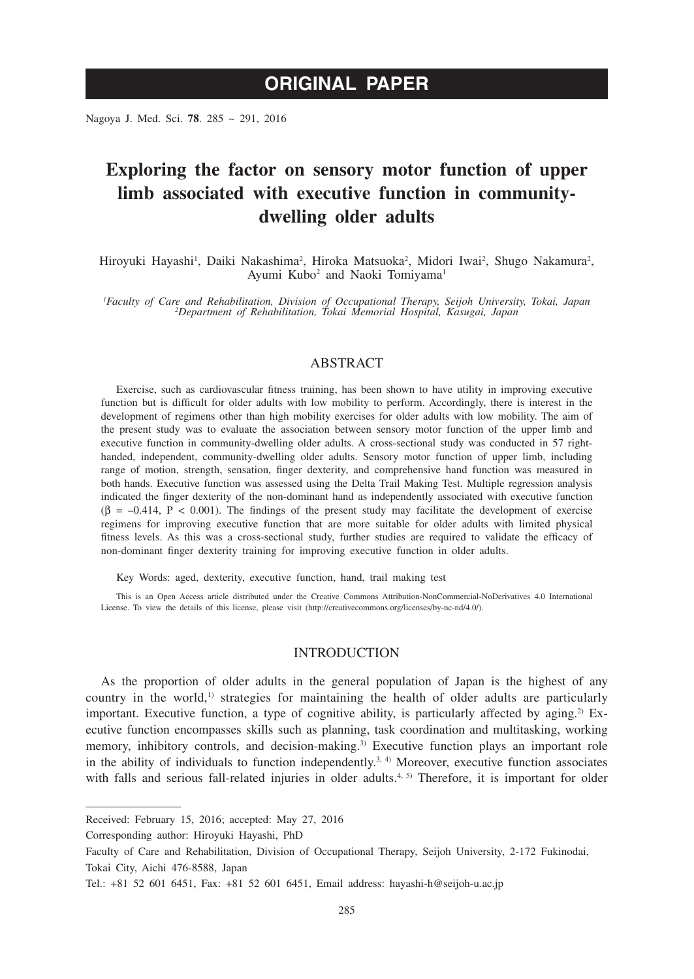# **ORIGINAL PAPER**

Nagoya J. Med. Sci. **78**. 285 ~ 291, 2016

## **Exploring the factor on sensory motor function of upper limb associated with executive function in communitydwelling older adults**

Hiroyuki Hayashi<sup>1</sup>, Daiki Nakashima<sup>2</sup>, Hiroka Matsuoka<sup>2</sup>, Midori Iwai<sup>2</sup>, Shugo Nakamura<sup>2</sup>, Ayumi Kubo<sup>2</sup> and Naoki Tomiyama<sup>1</sup>

*1 Faculty of Care and Rehabilitation, Division of Occupational Therapy, Seijoh University, Tokai, Japan <sup>2</sup> Department of Rehabilitation, Tokai Memorial Hospital, Kasugai, Japan*

## ABSTRACT

Exercise, such as cardiovascular fitness training, has been shown to have utility in improving executive function but is difficult for older adults with low mobility to perform. Accordingly, there is interest in the development of regimens other than high mobility exercises for older adults with low mobility. The aim of the present study was to evaluate the association between sensory motor function of the upper limb and executive function in community-dwelling older adults. A cross-sectional study was conducted in 57 righthanded, independent, community-dwelling older adults. Sensory motor function of upper limb, including range of motion, strength, sensation, finger dexterity, and comprehensive hand function was measured in both hands. Executive function was assessed using the Delta Trail Making Test. Multiple regression analysis indicated the finger dexterity of the non-dominant hand as independently associated with executive function  $(\beta = -0.414, P < 0.001)$ . The findings of the present study may facilitate the development of exercise regimens for improving executive function that are more suitable for older adults with limited physical fitness levels. As this was a cross-sectional study, further studies are required to validate the efficacy of non-dominant finger dexterity training for improving executive function in older adults.

Key Words: aged, dexterity, executive function, hand, trail making test

This is an Open Access article distributed under the Creative Commons Attribution-NonCommercial-NoDerivatives 4.0 International License. To view the details of this license, please visit (http://creativecommons.org/licenses/by-nc-nd/4.0/).

#### **INTRODUCTION**

As the proportion of older adults in the general population of Japan is the highest of any country in the world, $1$  strategies for maintaining the health of older adults are particularly important. Executive function, a type of cognitive ability, is particularly affected by aging.<sup>2)</sup> Executive function encompasses skills such as planning, task coordination and multitasking, working memory, inhibitory controls, and decision-making.<sup>3)</sup> Executive function plays an important role in the ability of individuals to function independently.<sup>3, 4)</sup> Moreover, executive function associates with falls and serious fall-related injuries in older adults.<sup>4, 5)</sup> Therefore, it is important for older

Corresponding author: Hiroyuki Hayashi, PhD

Received: February 15, 2016; accepted: May 27, 2016

Faculty of Care and Rehabilitation, Division of Occupational Therapy, Seijoh University, 2-172 Fukinodai, Tokai City, Aichi 476-8588, Japan

Tel.: +81 52 601 6451, Fax: +81 52 601 6451, Email address: hayashi-h@seijoh-u.ac.jp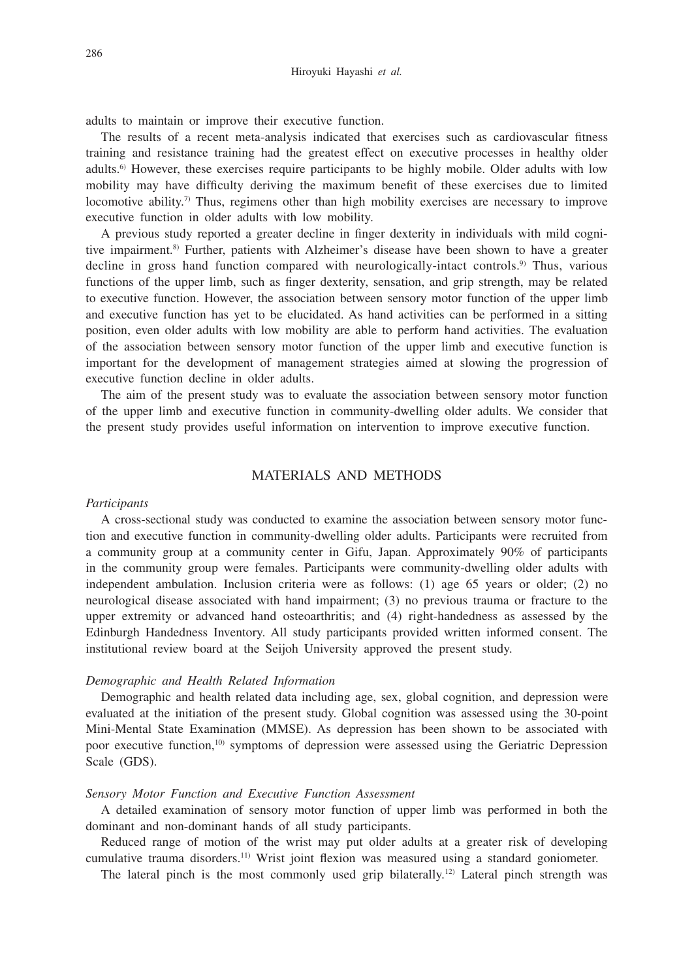adults to maintain or improve their executive function.

The results of a recent meta-analysis indicated that exercises such as cardiovascular fitness training and resistance training had the greatest effect on executive processes in healthy older adults.6) However, these exercises require participants to be highly mobile. Older adults with low mobility may have difficulty deriving the maximum benefit of these exercises due to limited locomotive ability.<sup>7)</sup> Thus, regimens other than high mobility exercises are necessary to improve executive function in older adults with low mobility.

A previous study reported a greater decline in finger dexterity in individuals with mild cognitive impairment.<sup>8)</sup> Further, patients with Alzheimer's disease have been shown to have a greater decline in gross hand function compared with neurologically-intact controls.<sup>9)</sup> Thus, various functions of the upper limb, such as finger dexterity, sensation, and grip strength, may be related to executive function. However, the association between sensory motor function of the upper limb and executive function has yet to be elucidated. As hand activities can be performed in a sitting position, even older adults with low mobility are able to perform hand activities. The evaluation of the association between sensory motor function of the upper limb and executive function is important for the development of management strategies aimed at slowing the progression of executive function decline in older adults.

The aim of the present study was to evaluate the association between sensory motor function of the upper limb and executive function in community-dwelling older adults. We consider that the present study provides useful information on intervention to improve executive function.

## MATERIALS AND METHODS

#### *Participants*

A cross-sectional study was conducted to examine the association between sensory motor function and executive function in community-dwelling older adults. Participants were recruited from a community group at a community center in Gifu, Japan. Approximately 90% of participants in the community group were females. Participants were community-dwelling older adults with independent ambulation. Inclusion criteria were as follows: (1) age 65 years or older; (2) no neurological disease associated with hand impairment; (3) no previous trauma or fracture to the upper extremity or advanced hand osteoarthritis; and (4) right-handedness as assessed by the Edinburgh Handedness Inventory. All study participants provided written informed consent. The institutional review board at the Seijoh University approved the present study.

#### *Demographic and Health Related Information*

Demographic and health related data including age, sex, global cognition, and depression were evaluated at the initiation of the present study. Global cognition was assessed using the 30-point Mini-Mental State Examination (MMSE). As depression has been shown to be associated with poor executive function,<sup>10</sup> symptoms of depression were assessed using the Geriatric Depression Scale (GDS).

#### *Sensory Motor Function and Executive Function Assessment*

A detailed examination of sensory motor function of upper limb was performed in both the dominant and non-dominant hands of all study participants.

Reduced range of motion of the wrist may put older adults at a greater risk of developing cumulative trauma disorders.<sup>11)</sup> Wrist joint flexion was measured using a standard goniometer.

The lateral pinch is the most commonly used grip bilaterally.<sup>12)</sup> Lateral pinch strength was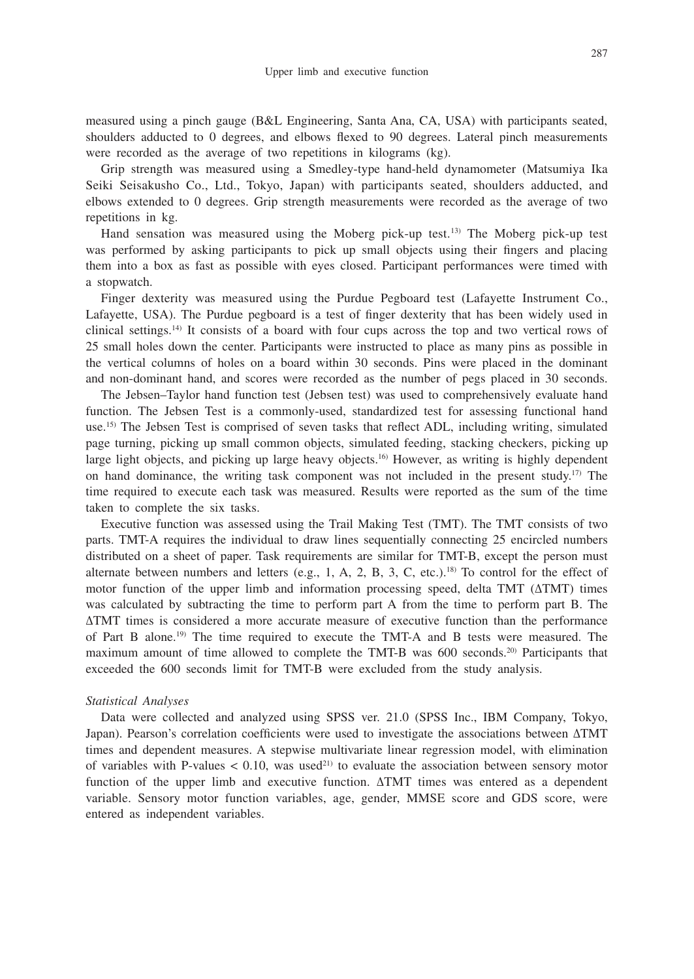measured using a pinch gauge (B&L Engineering, Santa Ana, CA, USA) with participants seated, shoulders adducted to 0 degrees, and elbows flexed to 90 degrees. Lateral pinch measurements were recorded as the average of two repetitions in kilograms (kg).

Grip strength was measured using a Smedley-type hand-held dynamometer (Matsumiya Ika Seiki Seisakusho Co., Ltd., Tokyo, Japan) with participants seated, shoulders adducted, and elbows extended to 0 degrees. Grip strength measurements were recorded as the average of two repetitions in kg.

Hand sensation was measured using the Moberg pick-up test.13) The Moberg pick-up test was performed by asking participants to pick up small objects using their fingers and placing them into a box as fast as possible with eyes closed. Participant performances were timed with a stopwatch.

Finger dexterity was measured using the Purdue Pegboard test (Lafayette Instrument Co., Lafayette, USA). The Purdue pegboard is a test of finger dexterity that has been widely used in clinical settings.14) It consists of a board with four cups across the top and two vertical rows of 25 small holes down the center. Participants were instructed to place as many pins as possible in the vertical columns of holes on a board within 30 seconds. Pins were placed in the dominant and non-dominant hand, and scores were recorded as the number of pegs placed in 30 seconds.

The Jebsen–Taylor hand function test (Jebsen test) was used to comprehensively evaluate hand function. The Jebsen Test is a commonly-used, standardized test for assessing functional hand use.15) The Jebsen Test is comprised of seven tasks that reflect ADL, including writing, simulated page turning, picking up small common objects, simulated feeding, stacking checkers, picking up large light objects, and picking up large heavy objects.<sup>16</sup> However, as writing is highly dependent on hand dominance, the writing task component was not included in the present study.<sup>17)</sup> The time required to execute each task was measured. Results were reported as the sum of the time taken to complete the six tasks.

Executive function was assessed using the Trail Making Test (TMT). The TMT consists of two parts. TMT-A requires the individual to draw lines sequentially connecting 25 encircled numbers distributed on a sheet of paper. Task requirements are similar for TMT-B, except the person must alternate between numbers and letters (e.g., 1, A, 2, B, 3, C, etc.).<sup>18)</sup> To control for the effect of motor function of the upper limb and information processing speed, delta TMT (ΔTMT) times was calculated by subtracting the time to perform part A from the time to perform part B. The ΔTMT times is considered a more accurate measure of executive function than the performance of Part B alone.19) The time required to execute the TMT-A and B tests were measured. The maximum amount of time allowed to complete the TMT-B was 600 seconds.20) Participants that exceeded the 600 seconds limit for TMT-B were excluded from the study analysis.

#### *Statistical Analyses*

Data were collected and analyzed using SPSS ver. 21.0 (SPSS Inc., IBM Company, Tokyo, Japan). Pearson's correlation coefficients were used to investigate the associations between ΔTMT times and dependent measures. A stepwise multivariate linear regression model, with elimination of variables with P-values  $< 0.10$ , was used<sup>21)</sup> to evaluate the association between sensory motor function of the upper limb and executive function. ΔTMT times was entered as a dependent variable. Sensory motor function variables, age, gender, MMSE score and GDS score, were entered as independent variables.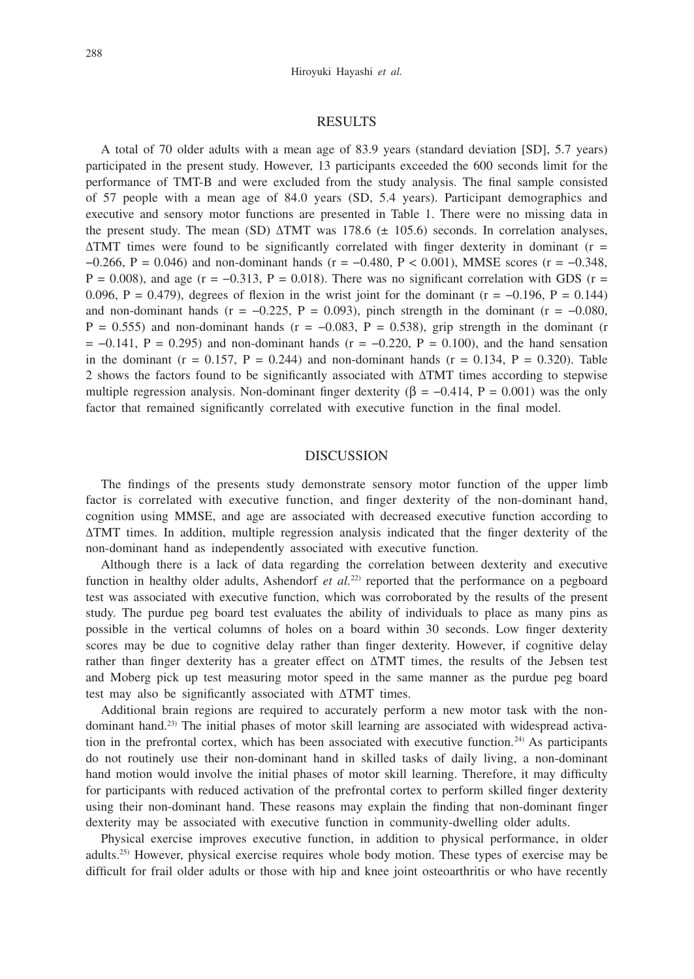#### RESULTS

A total of 70 older adults with a mean age of 83.9 years (standard deviation [SD], 5.7 years) participated in the present study. However, 13 participants exceeded the 600 seconds limit for the performance of TMT-B and were excluded from the study analysis. The final sample consisted of 57 people with a mean age of 84.0 years (SD, 5.4 years). Participant demographics and executive and sensory motor functions are presented in Table 1. There were no missing data in the present study. The mean (SD)  $\triangle$ TMT was 178.6 ( $\pm$  105.6) seconds. In correlation analyses,  $\Delta TMT$  times were found to be significantly correlated with finger dexterity in dominant (r = −0.266, P = 0.046) and non-dominant hands (r = −0.480, P < 0.001), MMSE scores (r = −0.348,  $P = 0.008$ ), and age (r = -0.313, P = 0.018). There was no significant correlation with GDS (r = 0.096, P = 0.479), degrees of flexion in the wrist joint for the dominant ( $r = -0.196$ , P = 0.144) and non-dominant hands ( $r = -0.225$ ,  $P = 0.093$ ), pinch strength in the dominant ( $r = -0.080$ ,  $P = 0.555$ ) and non-dominant hands (r = -0.083, P = 0.538), grip strength in the dominant (r  $= -0.141$ , P = 0.295) and non-dominant hands (r = -0.220, P = 0.100), and the hand sensation in the dominant ( $r = 0.157$ ,  $P = 0.244$ ) and non-dominant hands ( $r = 0.134$ ,  $P = 0.320$ ). Table 2 shows the factors found to be significantly associated with ΔTMT times according to stepwise multiple regression analysis. Non-dominant finger dexterity ( $\beta = -0.414$ ,  $P = 0.001$ ) was the only factor that remained significantly correlated with executive function in the final model.

#### DISCUSSION

The findings of the presents study demonstrate sensory motor function of the upper limb factor is correlated with executive function, and finger dexterity of the non-dominant hand, cognition using MMSE, and age are associated with decreased executive function according to ΔTMT times. In addition, multiple regression analysis indicated that the finger dexterity of the non-dominant hand as independently associated with executive function.

Although there is a lack of data regarding the correlation between dexterity and executive function in healthy older adults, Ashendorf *et al.*<sup>22</sup> reported that the performance on a pegboard test was associated with executive function, which was corroborated by the results of the present study. The purdue peg board test evaluates the ability of individuals to place as many pins as possible in the vertical columns of holes on a board within 30 seconds. Low finger dexterity scores may be due to cognitive delay rather than finger dexterity. However, if cognitive delay rather than finger dexterity has a greater effect on ΔTMT times, the results of the Jebsen test and Moberg pick up test measuring motor speed in the same manner as the purdue peg board test may also be significantly associated with ΔTMT times.

Additional brain regions are required to accurately perform a new motor task with the nondominant hand.23) The initial phases of motor skill learning are associated with widespread activation in the prefrontal cortex, which has been associated with executive function.24) As participants do not routinely use their non-dominant hand in skilled tasks of daily living, a non-dominant hand motion would involve the initial phases of motor skill learning. Therefore, it may difficulty for participants with reduced activation of the prefrontal cortex to perform skilled finger dexterity using their non-dominant hand. These reasons may explain the finding that non-dominant finger dexterity may be associated with executive function in community-dwelling older adults.

Physical exercise improves executive function, in addition to physical performance, in older adults.25) However, physical exercise requires whole body motion. These types of exercise may be difficult for frail older adults or those with hip and knee joint osteoarthritis or who have recently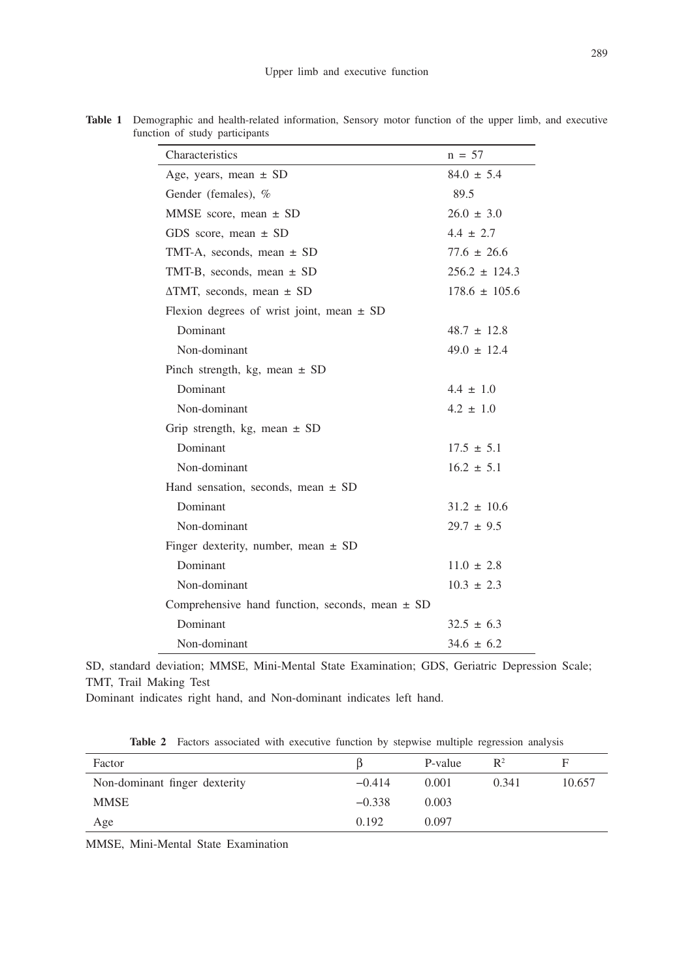| Characteristics                                     | $n = 57$          |
|-----------------------------------------------------|-------------------|
| Age, years, mean $\pm$ SD                           | $84.0 \pm 5.4$    |
| Gender (females), %                                 | 89.5              |
| MMSE score, mean $\pm$ SD                           | $26.0 \pm 3.0$    |
| GDS score, mean $\pm$ SD                            | $4.4 \pm 2.7$     |
| TMT-A, seconds, mean $\pm$ SD                       | $77.6 \pm 26.6$   |
| TMT-B, seconds, mean $\pm$ SD                       | $256.2 \pm 124.3$ |
| $\triangle$ TMT, seconds, mean $\pm$ SD             | $178.6 \pm 105.6$ |
| Flexion degrees of wrist joint, mean $\pm$ SD       |                   |
| Dominant                                            | $48.7 \pm 12.8$   |
| Non-dominant                                        | $49.0 \pm 12.4$   |
| Pinch strength, kg, mean $\pm$ SD                   |                   |
| Dominant                                            | $4.4 \pm 1.0$     |
| Non-dominant                                        | $4.2 \pm 1.0$     |
| Grip strength, kg, mean $\pm$ SD                    |                   |
| Dominant                                            | $17.5 \pm 5.1$    |
| Non-dominant                                        | $16.2 \pm 5.1$    |
| Hand sensation, seconds, mean $\pm$ SD              |                   |
| Dominant                                            | $31.2 \pm 10.6$   |
| Non-dominant                                        | $29.7 \pm 9.5$    |
| Finger dexterity, number, mean $\pm$ SD             |                   |
| Dominant                                            | $11.0 \pm 2.8$    |
| Non-dominant                                        | $10.3 \pm 2.3$    |
| Comprehensive hand function, seconds, mean $\pm$ SD |                   |
| Dominant                                            | $32.5 \pm 6.3$    |
| Non-dominant                                        | $34.6 \pm 6.2$    |

**Table 1** Demographic and health-related information, Sensory motor function of the upper limb, and executive function of study participants

SD, standard deviation; MMSE, Mini-Mental State Examination; GDS, Geriatric Depression Scale; TMT, Trail Making Test

Dominant indicates right hand, and Non-dominant indicates left hand.

**Table 2** Factors associated with executive function by stepwise multiple regression analysis

| Factor                        |          | P-value | $\mathbb{R}^2$ |        |
|-------------------------------|----------|---------|----------------|--------|
| Non-dominant finger dexterity | $-0.414$ | 0.001   | 0.341          | 10.657 |
| MMSE                          | $-0.338$ | 0.003   |                |        |
| Age                           | 0.192    | 0.097   |                |        |

MMSE, Mini-Mental State Examination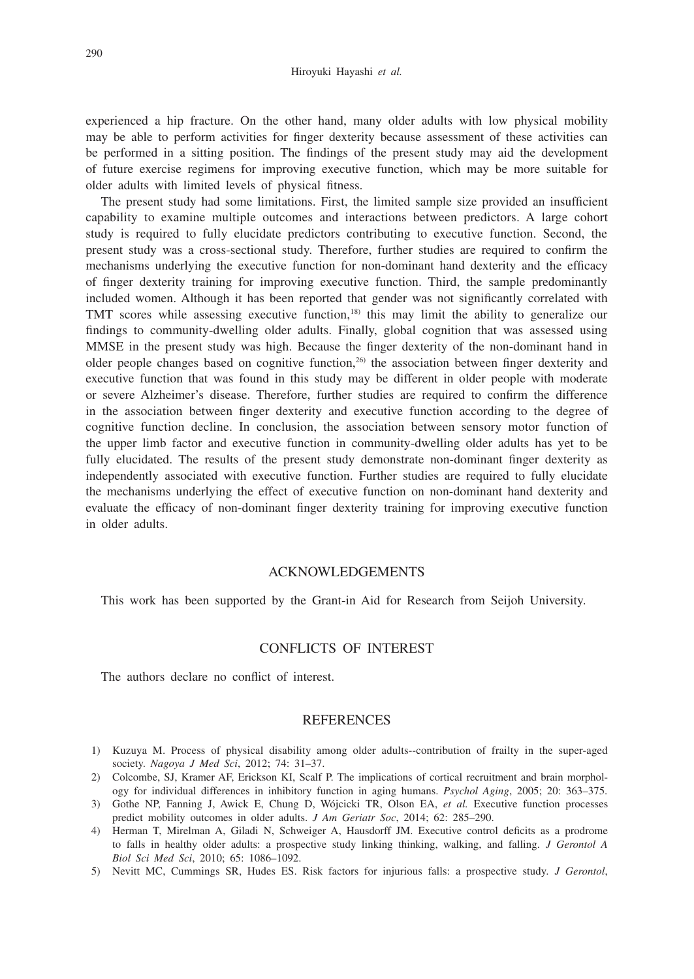experienced a hip fracture. On the other hand, many older adults with low physical mobility may be able to perform activities for finger dexterity because assessment of these activities can be performed in a sitting position. The findings of the present study may aid the development of future exercise regimens for improving executive function, which may be more suitable for older adults with limited levels of physical fitness.

The present study had some limitations. First, the limited sample size provided an insufficient capability to examine multiple outcomes and interactions between predictors. A large cohort study is required to fully elucidate predictors contributing to executive function. Second, the present study was a cross-sectional study. Therefore, further studies are required to confirm the mechanisms underlying the executive function for non-dominant hand dexterity and the efficacy of finger dexterity training for improving executive function. Third, the sample predominantly included women. Although it has been reported that gender was not significantly correlated with TMT scores while assessing executive function,<sup>18)</sup> this may limit the ability to generalize our findings to community-dwelling older adults. Finally, global cognition that was assessed using MMSE in the present study was high. Because the finger dexterity of the non-dominant hand in older people changes based on cognitive function,26) the association between finger dexterity and executive function that was found in this study may be different in older people with moderate or severe Alzheimer's disease. Therefore, further studies are required to confirm the difference in the association between finger dexterity and executive function according to the degree of cognitive function decline. In conclusion, the association between sensory motor function of the upper limb factor and executive function in community-dwelling older adults has yet to be fully elucidated. The results of the present study demonstrate non-dominant finger dexterity as independently associated with executive function. Further studies are required to fully elucidate the mechanisms underlying the effect of executive function on non-dominant hand dexterity and evaluate the efficacy of non-dominant finger dexterity training for improving executive function in older adults.

#### ACKNOWLEDGEMENTS

This work has been supported by the Grant-in Aid for Research from Seijoh University.

## CONFLICTS OF INTEREST

The authors declare no conflict of interest.

#### REFERENCES

- 1) Kuzuya M. Process of physical disability among older adults--contribution of frailty in the super-aged society. *Nagoya J Med Sci*, 2012; 74: 31–37.
- 2) Colcombe, SJ, Kramer AF, Erickson KI, Scalf P. The implications of cortical recruitment and brain morphology for individual differences in inhibitory function in aging humans. *Psychol Aging*, 2005; 20: 363–375.
- 3) Gothe NP, Fanning J, Awick E, Chung D, Wójcicki TR, Olson EA, *et al.* Executive function processes predict mobility outcomes in older adults. *J Am Geriatr Soc*, 2014; 62: 285–290.
- 4) Herman T, Mirelman A, Giladi N, Schweiger A, Hausdorff JM. Executive control deficits as a prodrome to falls in healthy older adults: a prospective study linking thinking, walking, and falling. *J Gerontol A Biol Sci Med Sci*, 2010; 65: 1086–1092.
- 5) Nevitt MC, Cummings SR, Hudes ES. Risk factors for injurious falls: a prospective study. *J Gerontol*,